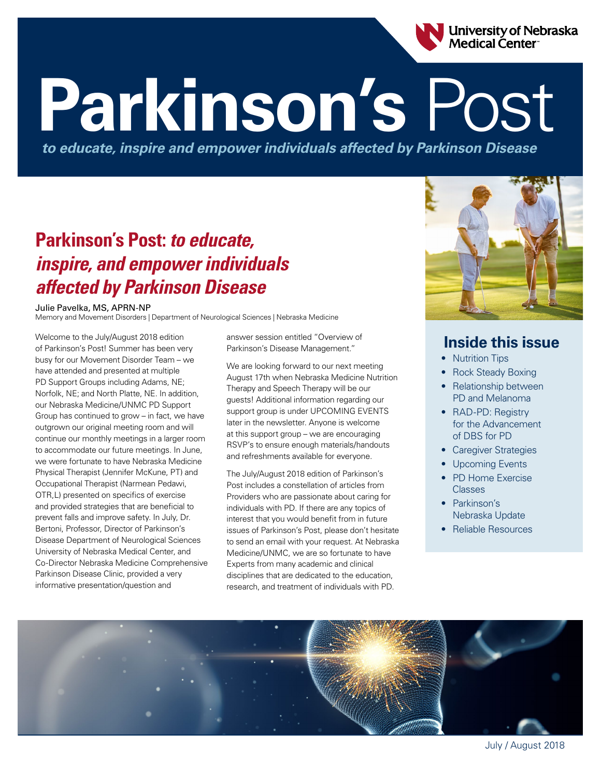

# **Parkinson's** Post

*to educate, inspire and empower individuals affected by Parkinson Disease*

## **Parkinson's Post:** *to educate, inspire, and empower individuals affected by Parkinson Disease*

#### Julie Pavelka, MS, APRN-NP

Memory and Movement Disorders | Department of Neurological Sciences | Nebraska Medicine

Welcome to the July/August 2018 edition of Parkinson's Post! Summer has been very busy for our Movement Disorder Team – we have attended and presented at multiple PD Support Groups including Adams, NE; Norfolk, NE; and North Platte, NE. In addition, our Nebraska Medicine/UNMC PD Support Group has continued to grow – in fact, we have outgrown our original meeting room and will continue our monthly meetings in a larger room to accommodate our future meetings. In June, we were fortunate to have Nebraska Medicine Physical Therapist (Jennifer McKune, PT) and Occupational Therapist (Narmean Pedawi, OTR,L) presented on specifics of exercise and provided strategies that are beneficial to prevent falls and improve safety. In July, Dr. Bertoni, Professor, Director of Parkinson's Disease Department of Neurological Sciences University of Nebraska Medical Center, and Co-Director Nebraska Medicine Comprehensive Parkinson Disease Clinic, provided a very informative presentation/question and

answer session entitled "Overview of Parkinson's Disease Management."

We are looking forward to our next meeting August 17th when Nebraska Medicine Nutrition Therapy and Speech Therapy will be our guests! Additional information regarding our support group is under UPCOMING EVENTS later in the newsletter. Anyone is welcome at this support group – we are encouraging RSVP's to ensure enough materials/handouts and refreshments available for everyone.

The July/August 2018 edition of Parkinson's Post includes a constellation of articles from Providers who are passionate about caring for individuals with PD. If there are any topics of interest that you would benefit from in future issues of Parkinson's Post, please don't hesitate to send an email with your request. At Nebraska Medicine/UNMC, we are so fortunate to have Experts from many academic and clinical disciplines that are dedicated to the education, research, and treatment of individuals with PD.



## **Inside this issue**

- Nutrition Tips
- Rock Steady Boxing
- Relationship between PD and Melanoma
- RAD-PD: Registry for the Advancement of DBS for PD
- Caregiver Strategies
- Upcoming Events
- PD Home Exercise Classes
- Parkinson's Nebraska Update
- Reliable Resources



July / August 2018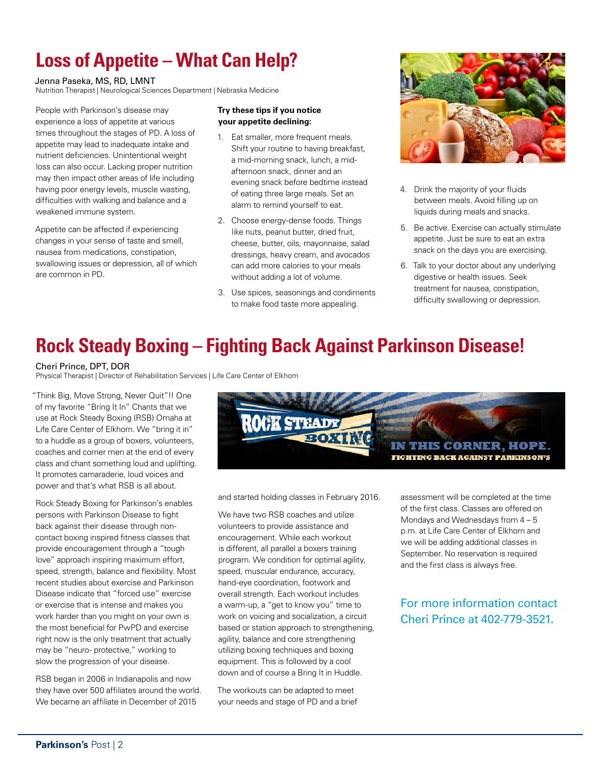# **Loss of Appetite – What Can Help?**

#### Jenna Paseka, MS, RD, LMNT

Nutrition Therapist | Neurological Sciences Department | Nebraska Medicine

People with Parkinson's disease may experience a loss of appetite at various times throughout the stages of PD. A loss of appetite may lead to inadequate intake and nutrient deficiencies. Unintentional weight loss can also occur. Lacking proper nutrition may then impact other areas of life including having poor energy levels, muscle wasting, difficulties with walking and balance and a weakened immune system.

Appetite can be affected if experiencing changes in your sense of taste and smell, nausea from medications, constipation, swallowing issues or depression, all of which are common in PD.

#### **Try these tips if you notice your appetite declining:**

- 1. Eat smaller, more frequent meals. Shift your routine to having breakfast, a mid-morning snack, lunch, a midafternoon snack, dinner and an evening snack before bedtime instead of eating three large meals. Set an alarm to remind yourself to eat.
- 2. Choose energy-dense foods. Things like nuts, peanut butter, dried fruit, cheese, butter, oils, mayonnaise, salad dressings, heavy cream, and avocados can add more calories to your meals without adding a lot of volume.
- 3. Use spices, seasonings and condiments to make food taste more appealing.



- 4. Drink the majority of your fluids between meals. Avoid filling up on liquids during meals and snacks.
- 5. Be active. Exercise can actually stimulate appetite. Just be sure to eat an extra snack on the days you are exercising.
- 6. Talk to your doctor about any underlying digestive or health issues. Seek treatment for nausea, constipation, difficulty swallowing or depression.

## **Rock Steady Boxing – Fighting Back Against Parkinson Disease!**

#### Cheri Prince, DPT, DOR

Physical Therapist | Director of Rehabilitation Services | Life Care Center of Elkhorn

"Think Big, Move Strong, Never Quit"!! One of my favorite "Bring It In" Chants that we use at Rock Steady Boxing (RSB) Omaha at Life Care Center of Elkhorn. We "bring it in" to a huddle as a group of boxers, volunteers, coaches and corner men at the end of every class and chant something loud and uplifting. It promotes camaraderie, loud voices and power and that's what RSB is all about.

Rock Steady Boxing for Parkinson's enables persons with Parkinson Disease to fight back against their disease through noncontact boxing inspired fitness classes that provide encouragement through a "tough love" approach inspiring maximum effort, speed, strength, balance and flexibility. Most recent studies about exercise and Parkinson Disease indicate that "forced use" exercise or exercise that is intense and makes you work harder than you might on your own is the most beneficial for PwPD and exercise right now is the only treatment that actually may be "neuro- protective," working to slow the progression of your disease.

RSB began in 2006 in Indianapolis and now they have over 500 affiliates around the world. We became an affiliate in December of 2015



and started holding classes in February 2016.

We have two RSB coaches and utilize volunteers to provide assistance and encouragement. While each workout is different, all parallel a boxers training program. We condition for optimal agility, speed, muscular endurance, accuracy, hand-eye coordination, footwork and overall strength. Each workout includes a warm-up, a "get to know you" time to work on voicing and socialization, a circuit based or station approach to strengthening, agility, balance and core strengthening utilizing boxing techniques and boxing equipment. This is followed by a cool down and of course a Bring It in Huddle.

The workouts can be adapted to meet your needs and stage of PD and a brief assessment will be completed at the time of the first class. Classes are offered on Mondays and Wednesdays from 4 – 5 p.m. at Life Care Center of Elkhorn and we will be adding additional classes in September. No reservation is required and the first class is always free.

### For more information contact Cheri Prince at 402-779-3521.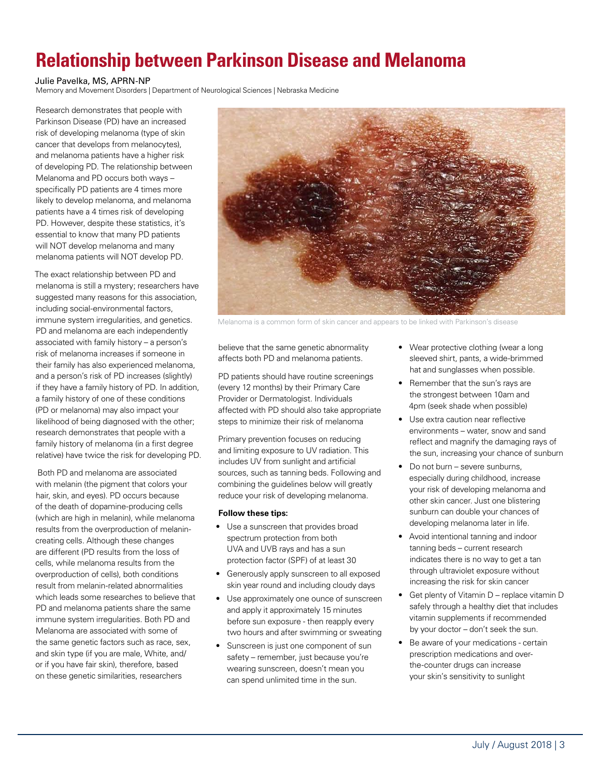# **Relationship between Parkinson Disease and Melanoma**

#### Julie Pavelka, MS, APRN-NP

Memory and Movement Disorders | Department of Neurological Sciences | Nebraska Medicine

Research demonstrates that people with Parkinson Disease (PD) have an increased risk of developing melanoma (type of skin cancer that develops from melanocytes), and melanoma patients have a higher risk of developing PD. The relationship between Melanoma and PD occurs both ways – specifically PD patients are 4 times more likely to develop melanoma, and melanoma patients have a 4 times risk of developing PD. However, despite these statistics, it's essential to know that many PD patients will NOT develop melanoma and many melanoma patients will NOT develop PD.

The exact relationship between PD and melanoma is still a mystery; researchers have suggested many reasons for this association, including social-environmental factors, immune system irregularities, and genetics. PD and melanoma are each independently associated with family history – a person's risk of melanoma increases if someone in their family has also experienced melanoma, and a person's risk of PD increases (slightly) if they have a family history of PD. In addition, a family history of one of these conditions (PD or melanoma) may also impact your likelihood of being diagnosed with the other; research demonstrates that people with a family history of melanoma (in a first degree relative) have twice the risk for developing PD.

 Both PD and melanoma are associated with melanin (the pigment that colors your hair, skin, and eyes). PD occurs because of the death of dopamine-producing cells (which are high in melanin), while melanoma results from the overproduction of melanincreating cells. Although these changes are different (PD results from the loss of cells, while melanoma results from the overproduction of cells), both conditions result from melanin-related abnormalities which leads some researches to believe that PD and melanoma patients share the same immune system irregularities. Both PD and Melanoma are associated with some of the same genetic factors such as race, sex, and skin type (if you are male, White, and/ or if you have fair skin), therefore, based on these genetic similarities, researchers



Melanoma is a common form of skin cancer and appears to be linked with Parkinson's disease

believe that the same genetic abnormality affects both PD and melanoma patients.

PD patients should have routine screenings (every 12 months) by their Primary Care Provider or Dermatologist. Individuals affected with PD should also take appropriate steps to minimize their risk of melanoma

Primary prevention focuses on reducing and limiting exposure to UV radiation. This includes UV from sunlight and artificial sources, such as tanning beds. Following and combining the guidelines below will greatly reduce your risk of developing melanoma.

#### **Follow these tips:**

- Use a sunscreen that provides broad spectrum protection from both UVA and UVB rays and has a sun protection factor (SPF) of at least 30
- Generously apply sunscreen to all exposed skin year round and including cloudy days
- Use approximately one ounce of sunscreen and apply it approximately 15 minutes before sun exposure - then reapply every two hours and after swimming or sweating
- Sunscreen is just one component of sun safety – remember, just because you're wearing sunscreen, doesn't mean you can spend unlimited time in the sun.
- Wear protective clothing (wear a long sleeved shirt, pants, a wide-brimmed hat and sunglasses when possible.
- Remember that the sun's rays are the strongest between 10am and 4pm (seek shade when possible)
- Use extra caution near reflective environments – water, snow and sand reflect and magnify the damaging rays of the sun, increasing your chance of sunburn
- Do not burn severe sunburns, especially during childhood, increase your risk of developing melanoma and other skin cancer. Just one blistering sunburn can double your chances of developing melanoma later in life.
- Avoid intentional tanning and indoor tanning beds – current research indicates there is no way to get a tan through ultraviolet exposure without increasing the risk for skin cancer
- Get plenty of Vitamin D replace vitamin D safely through a healthy diet that includes vitamin supplements if recommended by your doctor – don't seek the sun.
- Be aware of your medications certain prescription medications and overthe-counter drugs can increase your skin's sensitivity to sunlight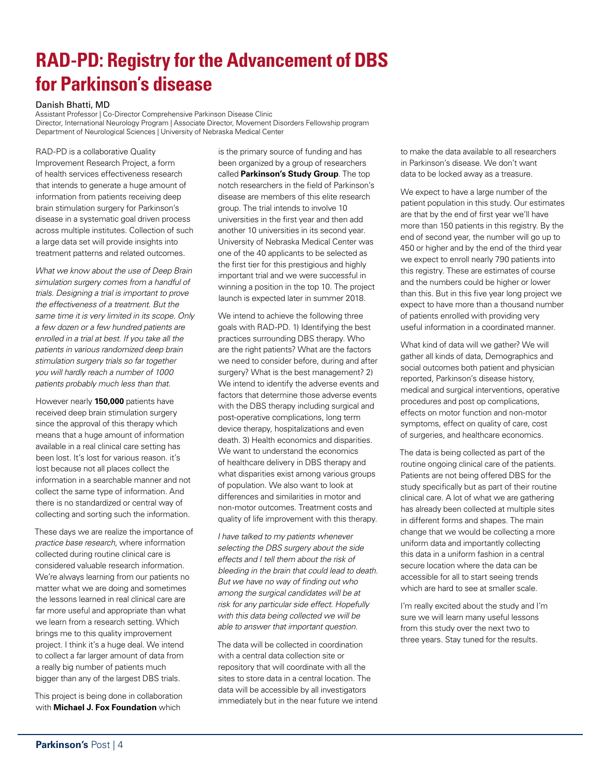# **RAD-PD: Registry for the Advancement of DBS for Parkinson's disease**

#### Danish Bhatti, MD

Assistant Professor | Co-Director Comprehensive Parkinson Disease Clinic Director, International Neurology Program | Associate Director, Movement Disorders Fellowship program Department of Neurological Sciences | University of Nebraska Medical Center

RAD-PD is a collaborative Quality Improvement Research Project, a form of health services effectiveness research that intends to generate a huge amount of information from patients receiving deep brain stimulation surgery for Parkinson's disease in a systematic goal driven process across multiple institutes. Collection of such a large data set will provide insights into treatment patterns and related outcomes.

*What we know about the use of Deep Brain simulation surgery comes from a handful of trials. Designing a trial is important to prove the effectiveness of a treatment. But the same time it is very limited in its scope. Only a few dozen or a few hundred patients are enrolled in a trial at best. If you take all the patients in various randomized deep brain stimulation surgery trials so far together you will hardly reach a number of 1000 patients probably much less than that.*

However nearly **150,000** patients have received deep brain stimulation surgery since the approval of this therapy which means that a huge amount of information available in a real clinical care setting has been lost. It's lost for various reason. it's lost because not all places collect the information in a searchable manner and not collect the same type of information. And there is no standardized or central way of collecting and sorting such the information.

These days we are realize the importance of *practice base research*, where information collected during routine clinical care is considered valuable research information. We're always learning from our patients no matter what we are doing and sometimes the lessons learned in real clinical care are far more useful and appropriate than what we learn from a research setting. Which brings me to this quality improvement project. I think it's a huge deal. We intend to collect a far larger amount of data from a really big number of patients much bigger than any of the largest DBS trials.

This project is being done in collaboration with **Michael J. Fox Foundation** which

is the primary source of funding and has been organized by a group of researchers called **Parkinson's Study Group**. The top notch researchers in the field of Parkinson's disease are members of this elite research group. The trial intends to involve 10 universities in the first year and then add another 10 universities in its second year. University of Nebraska Medical Center was one of the 40 applicants to be selected as the first tier for this prestigious and highly important trial and we were successful in winning a position in the top 10. The project launch is expected later in summer 2018.

We intend to achieve the following three goals with RAD-PD. 1) Identifying the best practices surrounding DBS therapy. Who are the right patients? What are the factors we need to consider before, during and after surgery? What is the best management? 2) We intend to identify the adverse events and factors that determine those adverse events with the DBS therapy including surgical and post-operative complications, long term device therapy, hospitalizations and even death. 3) Health economics and disparities. We want to understand the economics of healthcare delivery in DBS therapy and what disparities exist among various groups of population. We also want to look at differences and similarities in motor and non-motor outcomes. Treatment costs and quality of life improvement with this therapy.

*I have talked to my patients whenever selecting the DBS surgery about the side effects and I tell them about the risk of bleeding in the brain that could lead to death. But we have no way of finding out who among the surgical candidates will be at risk for any particular side effect. Hopefully with this data being collected we will be able to answer that important question.*

The data will be collected in coordination with a central data collection site or repository that will coordinate with all the sites to store data in a central location. The data will be accessible by all investigators immediately but in the near future we intend to make the data available to all researchers in Parkinson's disease. We don't want data to be locked away as a treasure.

We expect to have a large number of the patient population in this study. Our estimates are that by the end of first year we'll have more than 150 patients in this registry. By the end of second year, the number will go up to 450 or higher and by the end of the third year we expect to enroll nearly 790 patients into this registry. These are estimates of course and the numbers could be higher or lower than this. But in this five year long project we expect to have more than a thousand number of patients enrolled with providing very useful information in a coordinated manner.

What kind of data will we gather? We will gather all kinds of data, Demographics and social outcomes both patient and physician reported, Parkinson's disease history, medical and surgical interventions, operative procedures and post op complications, effects on motor function and non-motor symptoms, effect on quality of care, cost of surgeries, and healthcare economics.

The data is being collected as part of the routine ongoing clinical care of the patients. Patients are not being offered DBS for the study specifically but as part of their routine clinical care. A lot of what we are gathering has already been collected at multiple sites in different forms and shapes. The main change that we would be collecting a more uniform data and importantly collecting this data in a uniform fashion in a central secure location where the data can be accessible for all to start seeing trends which are hard to see at smaller scale.

I'm really excited about the study and I'm sure we will learn many useful lessons from this study over the next two to three years. Stay tuned for the results.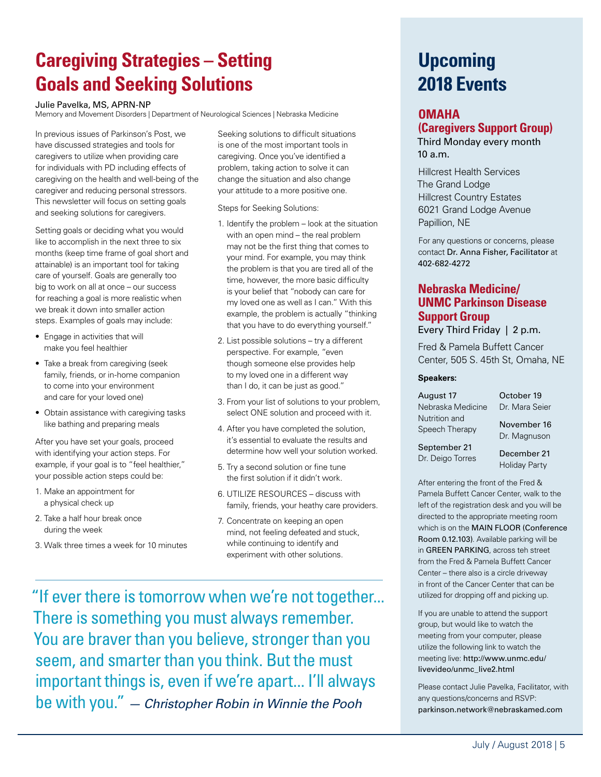# **Caregiving Strategies – Setting Goals and Seeking Solutions**

Julie Pavelka, MS, APRN-NP

Memory and Movement Disorders | Department of Neurological Sciences | Nebraska Medicine

In previous issues of Parkinson's Post, we have discussed strategies and tools for caregivers to utilize when providing care for individuals with PD including effects of caregiving on the health and well-being of the caregiver and reducing personal stressors. This newsletter will focus on setting goals and seeking solutions for caregivers.

Setting goals or deciding what you would like to accomplish in the next three to six months (keep time frame of goal short and attainable) is an important tool for taking care of yourself. Goals are generally too big to work on all at once – our success for reaching a goal is more realistic when we break it down into smaller action steps. Examples of goals may include:

- Engage in activities that will make you feel healthier
- Take a break from caregiving (seek family, friends, or in-home companion to come into your environment and care for your loved one)
- Obtain assistance with caregiving tasks like bathing and preparing meals

After you have set your goals, proceed with identifying your action steps. For example, if your goal is to "feel healthier," your possible action steps could be:

- 1. Make an appointment for a physical check up
- 2. Take a half hour break once during the week
- 3. Walk three times a week for 10 minutes

Seeking solutions to difficult situations is one of the most important tools in caregiving. Once you've identified a problem, taking action to solve it can change the situation and also change your attitude to a more positive one.

Steps for Seeking Solutions:

- 1. Identify the problem look at the situation with an open mind – the real problem may not be the first thing that comes to your mind. For example, you may think the problem is that you are tired all of the time, however, the more basic difficulty is your belief that "nobody can care for my loved one as well as I can." With this example, the problem is actually "thinking that you have to do everything yourself."
- 2. List possible solutions try a different perspective. For example, "even though someone else provides help to my loved one in a different way than I do, it can be just as good."
- 3. From your list of solutions to your problem, select ONE solution and proceed with it.
- 4. After you have completed the solution, it's essential to evaluate the results and determine how well your solution worked.
- 5. Try a second solution or fine tune the first solution if it didn't work.
- 6. UTILIZE RESOURCES discuss with family, friends, your heathy care providers.
- 7. Concentrate on keeping an open mind, not feeling defeated and stuck, while continuing to identify and experiment with other solutions.

"If ever there is tomorrow when we're not together... There is something you must always remember. You are braver than you believe, stronger than you seem, and smarter than you think. But the must important things is, even if we're apart... I'll always be with you." *— Christopher Robin in Winnie the Pooh*

# **Upcoming 2018 Events**

#### **OMAHA**

## **(Caregivers Support Group)**

Third Monday every month 10 a.m.

Hillcrest Health Services The Grand Lodge Hillcrest Country Estates 6021 Grand Lodge Avenue Papillion, NE

For any questions or concerns, please contact Dr. Anna Fisher, Facilitator at 402-682-4272

## **Nebraska Medicine/ UNMC Parkinson Disease Support Group**

Every Third Friday | 2 p.m.

Fred & Pamela Buffett Cancer Center, 505 S. 45th St, Omaha, NE

#### **Speakers:**

August 17 Nebraska Medicine Nutrition and Speech Therapy

Dr. Mara Seier November 16

October 19

September 21 Dr. Deigo Torres

December 21 Holiday Party

Dr. Magnuson

After entering the front of the Fred & Pamela Buffett Cancer Center, walk to the left of the registration desk and you will be directed to the appropriate meeting room which is on the MAIN FLOOR (Conference Room 0.12.103). Available parking will be in GREEN PARKING, across teh street from the Fred & Pamela Buffett Cancer Center – there also is a circle driveway in front of the Cancer Center that can be utilized for dropping off and picking up.

If you are unable to attend the support group, but would like to watch the meeting from your computer, please utilize the following link to watch the meeting live: [http://www.unmc.edu/](http://www.unmc.edu/livevideo/unmc_live2.html) [livevideo/unmc\\_live2.html](http://www.unmc.edu/livevideo/unmc_live2.html)

Please contact Julie Pavelka, Facilitator, with any questions/concerns and RSVP: [parkinson.network@nebraskamed.com](mailto:parkinson.network@nebraskamed.com)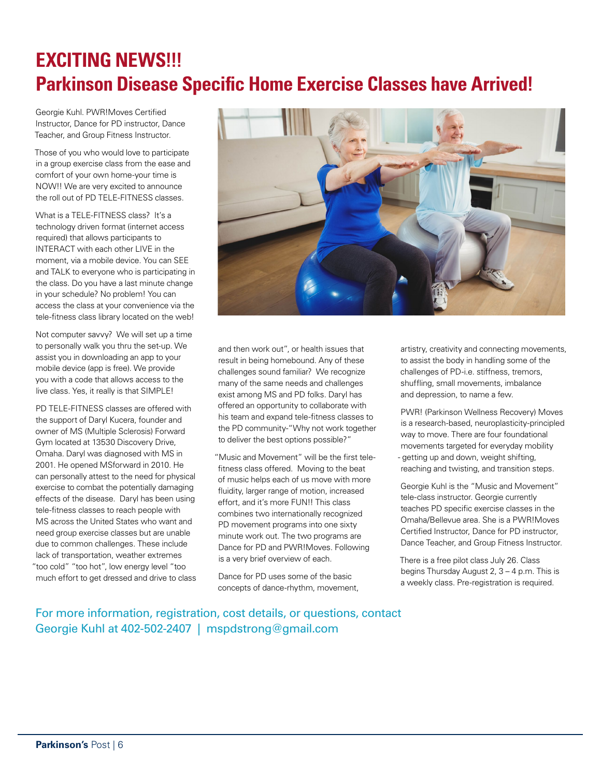# **EXCITING NEWS!!! Parkinson Disease Specific Home Exercise Classes have Arrived!**

Georgie Kuhl. PWR!Moves Certified Instructor, Dance for PD instructor, Dance Teacher, and Group Fitness Instructor.

Those of you who would love to participate in a group exercise class from the ease and comfort of your own home-your time is NOW!! We are very excited to announce the roll out of PD TELE-FITNESS classes.

What is a TELE-FITNESS class? It's a technology driven format (internet access required) that allows participants to INTERACT with each other LIVE in the moment, via a mobile device. You can SEE and TALK to everyone who is participating in the class. Do you have a last minute change in your schedule? No problem! You can access the class at your convenience via the tele-fitness class library located on the web!

Not computer savvy? We will set up a time to personally walk you thru the set-up. We assist you in downloading an app to your mobile device (app is free). We provide you with a code that allows access to the live class. Yes, it really is that SIMPLE!

PD TELE-FITNESS classes are offered with the support of Daryl Kucera, founder and owner of MS (Multiple Sclerosis) Forward Gym located at 13530 Discovery Drive, Omaha. Daryl was diagnosed with MS in 2001. He opened MSforward in 2010. He can personally attest to the need for physical exercise to combat the potentially damaging effects of the disease. Daryl has been using tele-fitness classes to reach people with MS across the United States who want and need group exercise classes but are unable due to common challenges. These include lack of transportation, weather extremes "too cold" "too hot", low energy level "too much effort to get dressed and drive to class



and then work out", or health issues that result in being homebound. Any of these challenges sound familiar? We recognize many of the same needs and challenges exist among MS and PD folks. Daryl has offered an opportunity to collaborate with his team and expand tele-fitness classes to the PD community-"Why not work together to deliver the best options possible?"

"Music and Movement" will be the first telefitness class offered. Moving to the beat of music helps each of us move with more fluidity, larger range of motion, increased effort, and it's more FUN!! This class combines two internationally recognized PD movement programs into one sixty minute work out. The two programs are Dance for PD and PWR!Moves. Following is a very brief overview of each.

Dance for PD uses some of the basic concepts of dance-rhythm, movement, artistry, creativity and connecting movements, to assist the body in handling some of the challenges of PD-i.e. stiffness, tremors, shuffling, small movements, imbalance and depression, to name a few.

PWR! (Parkinson Wellness Recovery) Moves is a research-based, neuroplasticity-principled way to move. There are four foundational movements targeted for everyday mobility - getting up and down, weight shifting, reaching and twisting, and transition steps.

Georgie Kuhl is the "Music and Movement" tele-class instructor. Georgie currently teaches PD specific exercise classes in the Omaha/Bellevue area. She is a PWR!Moves Certified Instructor, Dance for PD instructor, Dance Teacher, and Group Fitness Instructor.

There is a free pilot class July 26. Class begins Thursday August 2, 3 – 4 p.m. This is a weekly class. Pre-registration is required.

For more information, registration, cost details, or questions, contact Georgie Kuhl at 402-502-2407 | mspdstrong@gmail.com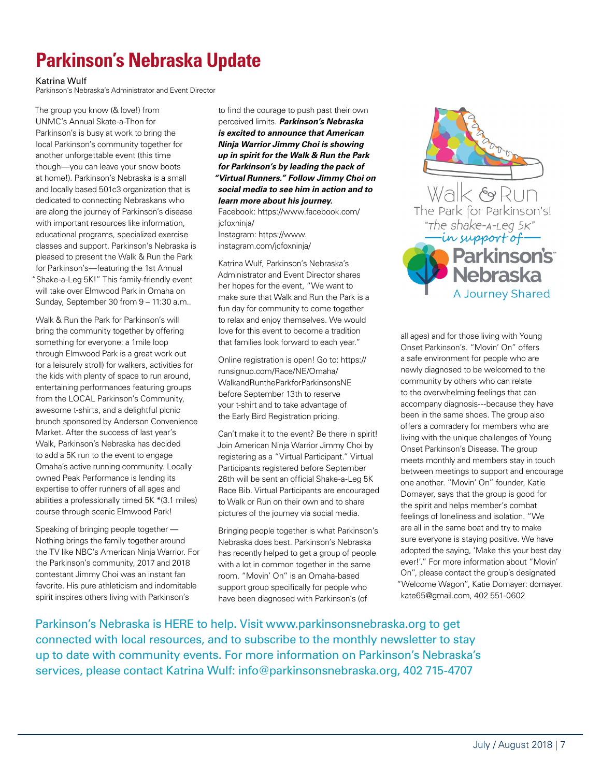# **Parkinson's Nebraska Update**

#### Katrina Wulf

Parkinson's Nebraska's Administrator and Event Director

The group you know (& love!) from UNMC's Annual Skate-a-Thon for Parkinson's is busy at work to bring the local Parkinson's community together for another unforgettable event (this time though—you can leave your snow boots at home!). Parkinson's Nebraska is a small and locally based 501c3 organization that is dedicated to connecting Nebraskans who are along the journey of Parkinson's disease with important resources like information, educational programs, specialized exercise classes and support. Parkinson's Nebraska is pleased to present the Walk & Run the Park for Parkinson's—featuring the 1st Annual "Shake-a-Leg 5K!" This family-friendly event will take over Elmwood Park in Omaha on Sunday, September 30 from 9 – 11:30 a.m..

Walk & Run the Park for Parkinson's will bring the community together by offering something for everyone: a 1mile loop through Elmwood Park is a great work out (or a leisurely stroll) for walkers, activities for the kids with plenty of space to run around, entertaining performances featuring groups from the LOCAL Parkinson's Community, awesome t-shirts, and a delightful picnic brunch sponsored by Anderson Convenience Market. After the success of last year's Walk, Parkinson's Nebraska has decided to add a 5K run to the event to engage Omaha's active running community. Locally owned Peak Performance is lending its expertise to offer runners of all ages and abilities a professionally timed 5K \*(3.1 miles) course through scenic Elmwood Park!

Speaking of bringing people together — Nothing brings the family together around the TV like NBC's American Ninja Warrior. For the Parkinson's community, 2017 and 2018 contestant Jimmy Choi was an instant fan favorite. His pure athleticism and indomitable spirit inspires others living with Parkinson's

to find the courage to push past their own perceived limits. *Parkinson's Nebraska is excited to announce that American Ninja Warrior Jimmy Choi is showing up in spirit for the Walk & Run the Park for Parkinson's by leading the pack of "Virtual Runners." Follow Jimmy Choi on social media to see him in action and to learn more about his journey.* Facebook: https://www.facebook.com/

jcfoxninja/ Instagram: https://www. instagram.com/jcfoxninja/

Katrina Wulf, Parkinson's Nebraska's Administrator and Event Director shares her hopes for the event, "We want to make sure that Walk and Run the Park is a fun day for community to come together to relax and enjoy themselves. We would love for this event to become a tradition that families look forward to each year."

Online registration is open! Go to: https:// runsignup.com/Race/NE/Omaha/ WalkandRuntheParkforParkinsonsNE before September 13th to reserve your t-shirt and to take advantage of the Early Bird Registration pricing.

Can't make it to the event? Be there in spirit! Join American Ninja Warrior Jimmy Choi by registering as a "Virtual Participant." Virtual Participants registered before September 26th will be sent an official Shake-a-Leg 5K Race Bib. Virtual Participants are encouraged to Walk or Run on their own and to share pictures of the journey via social media.

Bringing people together is what Parkinson's Nebraska does best. Parkinson's Nebraska has recently helped to get a group of people with a lot in common together in the same room. "Movin' On" is an Omaha-based support group specifically for people who have been diagnosed with Parkinson's (of



all ages) and for those living with Young Onset Parkinson's. "Movin' On" offers a safe environment for people who are newly diagnosed to be welcomed to the community by others who can relate to the overwhelming feelings that can accompany diagnosis---because they have been in the same shoes. The group also offers a comradery for members who are living with the unique challenges of Young Onset Parkinson's Disease. The group meets monthly and members stay in touch between meetings to support and encourage one another. "Movin' On" founder, Katie Domayer, says that the group is good for the spirit and helps member's combat feelings of loneliness and isolation. "We are all in the same boat and try to make sure everyone is staying positive. We have adopted the saying, 'Make this your best day ever!'." For more information about "Movin' On", please contact the group's designated "Welcome Wagon", Katie Domayer: domayer. kate65@gmail.com, 402 551-0602

Parkinson's Nebraska is HERE to help. Visit www.parkinsonsnebraska.org to get connected with local resources, and to subscribe to the monthly newsletter to stay up to date with community events. For more information on Parkinson's Nebraska's services, please contact Katrina Wulf: info@parkinsonsnebraska.org, 402 715-4707